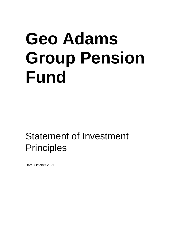# **Geo Adams Group Pension Fund**

Statement of Investment **Principles** 

Date: October 2021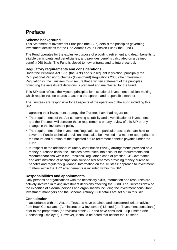# **Preface**

# **Scheme background**

This Statement of Investment Principles (the 'SIP') details the principles governing investment decisions for the Geo Adams Group Pension Fund ('the Fund').

The Fund operates for the exclusive purpose of providing retirement and death benefits to eligible participants and beneficiaries, and provides benefits calculated on a defined benefit (DB) basis. The Fund is closed to new entrants and to future accrual.

# **Regulatory requirements and considerations**

Under the Pensions Act 1995 (the 'Act') and subsequent legislation, principally the Occupational Pension Schemes (Investment) Regulations 2005 (the 'Investment Regulations'), the Trustees must secure that a written statement of the principles governing the investment decisions is prepared and maintained for the Fund.

This SIP also reflects the Myners principles for institutional investment decision-making, which require trustee boards to act in a transparent and responsible manner.

The Trustees are responsible for all aspects of the operation of the Fund including this SIP.

In agreeing their investment strategy, the Trustees have had regard to:

- The requirements of the Act concerning suitability and diversification of investments and the Trustees will consider those requirements on any review of this SIP or any change in the investment policy.
- The requirement of the Investment Regulations: in particular assets that are held to cover the Fund's technical provisions must also be invested in a manner appropriate to the nature and duration of the expected future retirement benefits payable under the Fund.
- In respect of the additional voluntary contribution ('AVC') arrangements provided on a money-purchase basis, the Trustees have taken into account the requirements and recommendations within the Pensions Regulator's code of practice 13: Governance and administration of occupational trust-based schemes providing money purchase benefits and regulatory guidance. Information on the Trustees' approach to investment matters within the AVC arrangements is included within this SIP.

# **Responsibilities and appointments**

Only persons or organisations with the necessary skills, information and resources are actively involved in taking investment decisions affecting the Fund. The Trustees draw on the expertise of external persons and organisations including the investment consultant, investment managers and the Scheme Actuary. Full details are set out in this SIP.

# **Consultation**

In accordance with the Act, the Trustees have obtained and considered written advice from Buck Consultants (Administration & Investment) Limited (the 'investment consultant') prior to the preparation (or revision) of this SIP and have consulted Tulip Limited (the 'Sponsoring Employer'). However, it should be noted that neither the Trustees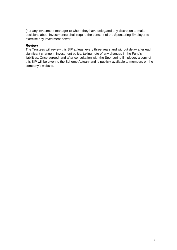(nor any investment manager to whom they have delegated any discretion to make decisions about investments) shall require the consent of the Sponsoring Employer to exercise any investment power.

#### **Review**

The Trustees will review this SIP at least every three years and without delay after each significant change in investment policy, taking note of any changes in the Fund's liabilities. Once agreed, and after consultation with the Sponsoring Employer, a copy of this SIP will be given to the Scheme Actuary and is publicly available to members on the company's website.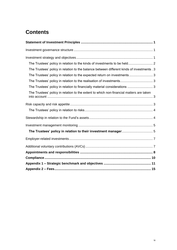# **Contents**

| The Trustees' policy in relation to the kinds of investments to be held 2                  |  |
|--------------------------------------------------------------------------------------------|--|
| The Trustees' policy in relation to the balance between different kinds of investments . 3 |  |
| The Trustees' policy in relation to the expected return on investments 3                   |  |
| The Trustees' policy in relation to the realisation of investments 3                       |  |
| The Trustees' policy in relation to financially material considerations  3                 |  |
| The Trustees' policy in relation to the extent to which non-financial matters are taken    |  |
|                                                                                            |  |
|                                                                                            |  |
|                                                                                            |  |
|                                                                                            |  |
|                                                                                            |  |
|                                                                                            |  |
|                                                                                            |  |
|                                                                                            |  |
|                                                                                            |  |
|                                                                                            |  |
|                                                                                            |  |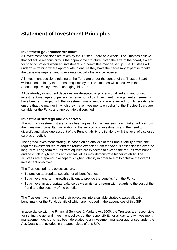# <span id="page-4-0"></span>**Statement of Investment Principles**

#### <span id="page-4-1"></span>**Investment governance structure**

All investment decisions are taken by the Trustee Board as a whole. The Trustees believe that collective responsibility is the appropriate structure, given the size of the board, except for specific projects when an investment sub-committee may be set up. The Trustees will undertake training where appropriate to ensure they have the necessary expertise to take the decisions required and to evaluate critically the advice received.

All investment decisions relating to the Fund are under the control of the Trustee Board without constraint by the Sponsoring Employer. The Trustees will consult with the Sponsoring Employer when changing this SIP.

All day-to-day investment decisions are delegated to properly qualified and authorised investment managers of pension scheme portfolios. Investment management agreements have been exchanged with the investment managers, and are reviewed from time-to-time to ensure that the manner in which they make investments on behalf of the Trustee Board are suitable for the Fund, and appropriately diversified.

#### <span id="page-4-2"></span>**Investment strategy and objectives**

The Fund's investment strategy has been agreed by the Trustees having taken advice from the investment consultant in relation to the suitability of investments and the need to diversify and takes due account of the Fund's liability profile along with the level of disclosed surplus or deficit.

The agreed investment strategy is based on an analysis of the Fund's liability profile, the required investment return and the returns expected from the various asset classes over the long-term. Long-term returns from equities are expected to exceed the returns from bonds and cash, although returns and capital values may demonstrate higher volatility. The Trustees are prepared to accept this higher volatility in order to aim to achieve the overall investment objectives.

The Trustees' primary objectives are:

- To provide appropriate security for all beneficiaries.
- To achieve long-term growth sufficient to provide the benefits from the Fund.
- To achieve an appropriate balance between risk and return with regards to the cost of the Fund and the security of the benefits.

The Trustees have translated their objectives into a suitable strategic asset allocation benchmark for the Fund, details of which are included in the appendices of this SIP.

In accordance with the Financial Services & Markets Act 2000, the Trustees are responsible for setting the general investment policy, but the responsibility for all day-to-day investment management decisions has been delegated to an investment manager authorised under the Act. Details are included in the appendices of this SIP.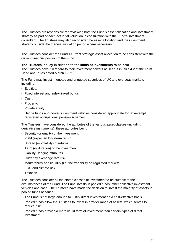The Trustees are responsible for reviewing both the Fund's asset allocation and investment strategy as part of each actuarial valuation in consultation with the Fund's investment consultant. The Trustees may also reconsider the asset allocation and the investment strategy outside the triennial valuation period where necessary.

The Trustees consider the Fund's current strategic asset allocation to be consistent with the current financial position of the Fund.

#### <span id="page-5-0"></span>**The Trustees' policy in relation to the kinds of investments to be held**

The Trustees have full regard to their investment powers as set out in Rule 4.2 of the Trust Deed and Rules dated March 1992.

The Fund may invest in quoted and unquoted securities of UK and overseas markets including:

- Equities.
- Fixed interest and index-linked bonds.
- Cash.
- Property.
- Private equity.
- Hedge funds and pooled investment vehicles considered appropriate for tax-exempt registered occupational pension schemes.

The Trustees have considered the attributes of the various asset classes (including derivative instruments), these attributes being:

- Security (or quality) of the investment.
- Yield (expected long-term return).
- Spread (or volatility) of returns.
- Term (or duration) of the investment.
- Liability Hedging attributes.
- Currency exchange rate risk.
- Marketability and liquidity (i.e. the tradability on regulated markets).
- ESG and climate risk.
- Taxation.

The Trustees consider all the stated classes of investment to be suitable to the circumstances of the Fund. The Fund invests in pooled funds, other collective investment vehicles and cash. The Trustees have made the decision to invest the majority of assets in pooled funds because:

- The Fund is not large enough to justify direct investment on a cost-effective basis.
- Pooled funds allow the Trustees to invest in a wider range of assets, which serves to reduce risk.
- Pooled funds provide a more liquid form of investment than certain types of direct investment.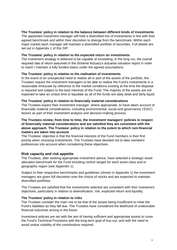#### <span id="page-6-0"></span>**The Trustees' policy in relation to the balance between different kinds of investments**

The appointed investment manager will hold a diversified mix of investments in line with their agreed benchmark and within their discretion to diverge from the benchmark. Within each major market each manager will maintain a diversified portfolio of securities. Full details are set out in Appendix 1 of this SIP.

#### <span id="page-6-1"></span>**The Trustees' policy in relation to the expected return on investments**

The investment strategy is believed to be capable of exceeding, in the long run, the overall required rate of return assumed in the Scheme Actuary's actuarial valuation report in order to reach / maintain a fully funded status under the agreed assumptions.

#### <span id="page-6-2"></span>**The Trustees' policy in relation to the realisation of investments**

In the event of an unexpected need to realise all or part of the assets of the portfolio, the Trustees require the investment managers to be able to realise the Fund's investments in a reasonable timescale by reference to the market conditions existing at the time the disposal is required and subject to the best interests of the Fund. The majority of the assets are not expected to take an undue time to liquidate as all of the funds are daily dealt and fairly liquid.

#### <span id="page-6-3"></span>**The Trustees' policy in relation to financially material considerations**

The Trustees expect their investment manager, where appropriate, to have taken account of financially material considerations, including environmental, social and governance ('ESG') factors as part of their investment analysis and decision-making process.

#### **The Trustees review, from time to time, the investment managers' policies in respect of financially material considerations and are satisfied they are consistent with the above approach. The Trustees' policy in relation to the extent to which non-financial matters are taken into account**

<span id="page-6-4"></span>The Trustees' objective is that the financial interests of the Fund members is their first priority when choosing investments. The Trustees have decided not to take members' preferences into account when considering these objectives.

# <span id="page-6-5"></span>**Risk capacity and risk appetite**

The Trustees, after seeking appropriate investment advice, have selected a strategic asset allocation benchmark for the Fund including control ranges for each asset class and or geographic region (see Appendix 1).

Subject to their respective benchmarks and guidelines (shown in Appendix 1) the investment managers are given full discretion over the choice of stocks and are expected to maintain diversified portfolios.

The Trustees are satisfied that the investments selected are consistent with their investment objectives, particularly in relation to diversification, risk, expected return and liquidity.

#### <span id="page-6-6"></span>**The Trustees' policy in relation to risks**

The Trustees consider the main risk to be that of the assets being insufficient to meet the Fund's liabilities as they fall due. The Trustees have considered the likelihood of undesirable financial outcomes arising in the future.

Investment policies are set with the aim of having sufficient and appropriate assets to cover the Fund's Technical Provisions with the long-term goal of buy-out, and with the need to avoid undue volatility of the contributions required.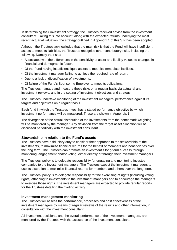In determining their investment strategy, the Trustees received advice from the investment consultant. Taking this into account, along with the expected returns underlying the most recent actuarial valuation, the strategy outlined in Appendix 1 of this SIP has been adopted.

Although the Trustees acknowledge that the main risk is that the Fund will have insufficient assets to meet its liabilities, the Trustees recognise other contributory risks, including the following. Namely the risks:

- Associated with the differences in the sensitivity of asset and liability values to changes in financial and demographic factors.
- Of the Fund having insufficient liquid assets to meet its immediate liabilities.
- Of the investment manager failing to achieve the required rate of return.
- Due to a lack of diversification of investments.
- Of failure of the Fund's Sponsoring Employer to meet its obligations.

The Trustees manage and measure these risks on a regular basis via actuarial and investment reviews, and in the setting of investment objectives and strategy.

The Trustees undertake monitoring of the investment managers' performance against its targets and objectives on a regular basis.

Each fund in which the Trustees invest has a stated performance objective by which investment performance will be measured. These are shown in Appendix 1.

The divergence of the actual distribution of the investments from the benchmark weighting will be monitored by the manager. Any deviation from the target asset allocation will be discussed periodically with the investment consultant.

#### <span id="page-7-0"></span>**Stewardship in relation to the Fund's assets**

The Trustees have a fiduciary duty to consider their approach to the stewardship of the investments, to maximise financial returns for the benefit of members and beneficiaries over the long term. The Trustees can promote an investment's long-term success through monitoring, engagement and/or voting, either directly or through their investment managers.

The Trustees' policy is to delegate responsibility for engaging and monitoring investee companies to the investment managers. The Trustees expect the investment managers to use its discretion to maximise financial returns for members and others over the long term.

The Trustees' policy is to delegate responsibility for the exercising of rights (including voting rights) attaching to investments to the investment managers and to encourage the managers to exercise those rights. The investment managers are expected to provide regular reports for the Trustees detailing their voting activity.

#### <span id="page-7-1"></span>**Investment management monitoring**

The Trustees will assess the performance, processes and cost effectiveness of the investment managers by means of regular reviews of the results and other information, in consultation with the investment consultant.

All investment decisions, and the overall performance of the investment managers, are monitored by the Trustees with the assistance of the investment consultant.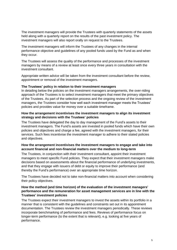The investment managers will provide the Trustees with quarterly statements of the assets held along with a quarterly report on the results of the past investment policy. The investment managers will also report orally on request to the Trustees.

The investment managers will inform the Trustees of any changes in the internal performance objective and guidelines of any pooled funds used by the Fund as and when they occur.

The Trustees will assess the quality of the performance and processes of the investment managers by means of a review at least once every three years in consultation with the investment consultant.

Appropriate written advice will be taken from the investment consultant before the review, appointment or removal of the investment managers.

#### <span id="page-8-0"></span>**The Trustees' policy in relation to their investment managers**

In detailing below the policies on the investment managers arrangements, the over-riding approach of the Trustees is to select investment managers that meet the primary objectives of the Trustees. As part of the selection process and the ongoing review of the investment managers, the Trustees consider how well each investment manager meets the Trustees' policies and provides value for money over a suitable timeframe.

#### **How the arrangement incentivises the investment managers to align its investment strategy and decisions with the Trustees' policies**

The Trustees have delegated the day to day management of the Fund's assets to their investment managers. The Fund's assets are invested in pooled funds which have their own policies and objectives and charge a fee, agreed with the investment managers, for their services. Such fees incentivise the investment manager to adhere to their stated policies and objectives.

#### **How the arrangement incentivises the investment managers to engage and take into account financial and non-financial matters over the medium to long-term**

The Trustees, in conjunction with their investment consultant, appoint their investment managers to meet specific Fund policies. They expect that their investment managers make decisions based on assessments about the financial performance of underlying investments, and that they engage with issuers of debt or equity to improve their performance (and thereby the Fund's performance) over an appropriate time horizon.

The Trustees have decided not to take non-financial matters into account when considering their policy objectives.

#### **How the method (and time horizon) of the evaluation of the investment managers' performance and the remuneration for asset management services are in line with the Trustees' investment policies**

The Trustees expect their investment managers to invest the assets within its portfolio in a manner that is consistent with the guidelines and constraints set out in its appointment documentation. The Trustees review the investment managers periodically. These reviews incorporate benchmarking of performance and fees. Reviews of performance focus on longer-term performance (to the extent that is relevant), e.g. looking at five years of performance.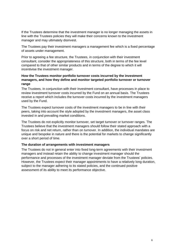If the Trustees determine that the investment manager is no longer managing the assets in line with the Trustees policies they will make their concerns known to the investment manager and may ultimately disinvest.

The Trustees pay their investment managers a management fee which is a fixed percentage of assets under management.

Prior to agreeing a fee structure, the Trustees, in conjunction with their investment consultant, consider the appropriateness of this structure, both in terms of the fee level compared to that of other similar products and in terms of the degree to which it will incentivise the investment manager.

#### **How the Trustees monitor portfolio turnover costs incurred by the investment managers, and how they define and monitor targeted portfolio turnover or turnover range**

The Trustees, in conjunction with their investment consultant, have processes in place to review investment turnover costs incurred by the Fund on an annual basis. The Trustees receive a report which includes the turnover costs incurred by the investment managers used by the Fund.

The Trustees expect turnover costs of the investment managers to be in line with their peers, taking into account the style adopted by the investment managers, the asset class invested in and prevailing market conditions.

The Trustees do not explicitly monitor turnover, set target turnover or turnover ranges. The Trustees believe that the investment managers should follow their stated approach with a focus on risk and net return, rather than on turnover. In addition, the individual mandates are unique and bespoke in nature and there is the potential for markets to change significantly over a short period of time.

#### **The duration of arrangements with investment managers**

The Trustees do not in general enter into fixed long-term agreements with their investment managers and instead retain the ability to change investment manager should the performance and processes of the investment manager deviate from the Trustees' policies. However, the Trustees expect their manager appointments to have a relatively long duration, subject to the manager adhering to its stated policies, and the continued positive assessment of its ability to meet its performance objective.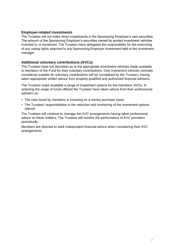## <span id="page-10-0"></span>**Employer-related investments**

The Trustees will not make direct investments in the Sponsoring Employer's own securities. The amount of the Sponsoring Employer's securities owned by pooled investment vehicles invested in, is monitored. The Trustees have delegated the responsibility for the exercising of any voting rights attached to any Sponsoring Employer investment held to the investment manager.

## <span id="page-10-1"></span>**Additional voluntary contributions (AVCs)**

The Trustees have full discretion as to the appropriate investment vehicles made available to members of the Fund for their voluntary contributions. Only investment vehicles normally considered suitable for voluntary contributions will be considered by the Trustees, having taken appropriate written advice from properly qualified and authorised financial advisers.

The Trustees make available a range of investment options for the members' AVCs. In selecting the range of funds offered the Trustees have taken advice from their professional advisers on:

- The risks faced by members in investing on a money purchase basis.
- The Trustees' responsibilities in the selection and monitoring of the investment options offered.

The Trustees will continue to manage the AVC arrangements having taken professional advice on these matters. The Trustees will monitor the performance of AVC providers periodically.

Members are directed to seek independent financial advice when considering their AVC arrangements.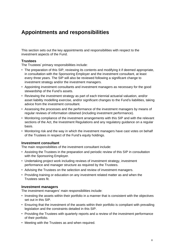# <span id="page-11-0"></span>**Appointments and responsibilities**

This section sets out the key appointments and responsibilities with respect to the investment aspects of the Fund.

# **Trustees**

The Trustees' primary responsibilities include:

- The preparation of this SIP, reviewing its contents and modifying it if deemed appropriate, in consultation with the Sponsoring Employer and the investment consultant, at least every three years. The SIP will also be reviewed following a significant change to investment strategy and/or the investment managers.
- Appointing investment consultants and investment managers as necessary for the good stewardship of the Fund's assets.
- Reviewing the investment strategy as part of each triennial actuarial valuation, and/or asset liability modelling exercise, and/or significant changes to the Fund's liabilities, taking advice from the investment consultant.
- Assessing the processes and the performance of the investment managers by means of regular reviews of information obtained (including investment performance).
- Monitoring compliance of the investment arrangements with this SIP and with the relevant sections of the Act, the Investment Regulations and any regulatory guidance on a regular basis.
- Monitoring risk and the way in which the investment managers have cast votes on behalf of the Trustees in respect of the Fund's equity holdings.

#### **Investment consultant**

The main responsibilities of the investment consultant include:

- Assisting the Trustees in the preparation and periodic review of this SIP in consultation with the Sponsoring Employer.
- Undertaking project work including reviews of investment strategy, investment performance and manager structure as required by the Trustees.
- Advising the Trustees on the selection and review of investment managers.
- Providing training or education on any investment related matter as and when the Trustees sees fit.

#### **Investment managers**

The investment managers' main responsibilities include:

- Investing the assets within their portfolio in a manner that is consistent with the objectives set out in this SIP.
- Ensuring that the investment of the assets within their portfolio is compliant with prevailing legislation and the constraints detailed in this SIP.
- Providing the Trustees with quarterly reports and a review of the investment performance of their portfolio.
- Meeting with the Trustees as and when required.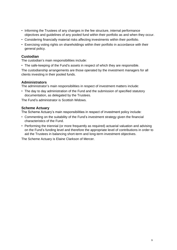- Informing the Trustees of any changes in the fee structure, internal performance objectives and guidelines of any pooled fund within their portfolio as and when they occur.
- Considering financially material risks affecting investments within their portfolio.
- Exercising voting rights on shareholdings within their portfolio in accordance with their general policy.

# **Custodian**

The custodian's main responsibilities include:

• The safe-keeping of the Fund's assets in respect of which they are responsible.

The custodianship arrangements are those operated by the investment managers for all clients investing in their pooled funds.

# **Administrators**

The administrator's main responsibilities in respect of investment matters include:

• The day to day administration of the Fund and the submission of specified statutory documentation, as delegated by the Trustees.

The Fund's administrator is Scottish Widows.

# **Scheme Actuary**

The Scheme Actuary's main responsibilities in respect of investment policy include:

- Commenting on the suitability of the Fund's investment strategy given the financial characteristics of the Fund.
- Performing the triennial (or more frequently as required) actuarial valuation and advising on the Fund's funding level and therefore the appropriate level of contributions in order to aid the Trustees in balancing short-term and long-term investment objectives.

The Scheme Actuary is Elaine Clarkson of Mercer.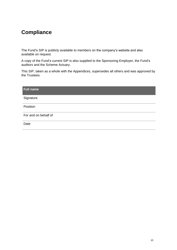# <span id="page-13-0"></span>**Compliance**

The Fund's SIP is publicly available to members on the company's website and also available on request.

A copy of the Fund's current SIP is also supplied to the Sponsoring Employer, the Fund's auditors and the Scheme Actuary.

This SIP, taken as a whole with the Appendices, supersedes all others and was approved by the Trustees.

| <b>Full name</b>     |
|----------------------|
| Signature            |
| Position             |
| For and on behalf of |
| Date                 |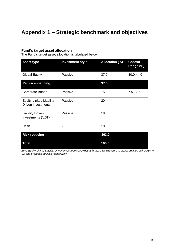# <span id="page-14-0"></span>**Appendix 1 – Strategic benchmark and objectives**

# **Fund's target asset allocation**

The Fund's target asset allocation is tabulated below:

| <b>Asset type</b>                                           | <b>Investment style</b> | <b>Allocation (%)</b> | <b>Control</b><br>Range (%) |
|-------------------------------------------------------------|-------------------------|-----------------------|-----------------------------|
| <b>Global Equity</b>                                        | Passive                 | 37.0                  | 30.0-44.0                   |
| <b>Return enhancing</b>                                     |                         | 37.0                  |                             |
| <b>Corporate Bonds</b>                                      | Passive                 | 15.0                  | $7.5 - 12.5$                |
| <b>Equity-Linked Liability</b><br><b>Driven Investments</b> | Passive                 | 20                    |                             |
| <b>Liability Driven</b><br>Investments ('LDI')              | Passive                 | 18                    |                             |
| Cash                                                        |                         | 10                    |                             |
| <b>Risk reducing</b>                                        |                         | 363.0                 |                             |
| <b>Total</b>                                                |                         | 100.0                 |                             |

*BMO Equity-Linked Liability Driven Investments provides a further 28% exposure to global equities split 20/80 to UK and overseas equities respectively.*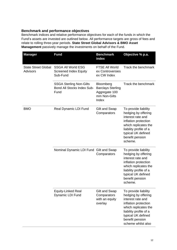# **Benchmark and performance objectives**

Benchmark indices and relative performance objectives for each of the funds in which the Fund's assets are invested are outlined below. All performance targets are gross of fees and relate to rolling three-year periods. **State Street Global Advisors & BMO Asset Management** passively manage the investments on behalf of the Fund.

| <b>Manager</b>                                | <b>Fund</b>                                                           | <b>Benchmark</b><br>index                                                       | Objective % p.a.                                                                                                                                                                                          |
|-----------------------------------------------|-----------------------------------------------------------------------|---------------------------------------------------------------------------------|-----------------------------------------------------------------------------------------------------------------------------------------------------------------------------------------------------------|
| <b>State Street Global</b><br><b>Advisors</b> | <b>SSGA All World ESG</b><br><b>Screened Index Equity</b><br>Sub-Fund | <b>FTSE All World</b><br>ex Controversies<br>ex CW Index                        | Track the benchmark                                                                                                                                                                                       |
|                                               | <b>SSGA Sterling Non-Gilts</b><br>Bond All Stocks Index Sub-<br>Fund  | Bloomberg<br><b>Barclays Sterling</b><br>Aggregate 100<br>mm Non-Gilts<br>Index | Track the benchmark                                                                                                                                                                                       |
| <b>BMO</b>                                    | Real Dynamic LDI Fund                                                 | Gilt and Swap<br>Comparators                                                    | To provide liability<br>hedging by offering<br>interest rate and<br>inflation protection<br>which replicates the<br>liability profile of a<br>typical UK defined<br>benefit pension<br>scheme.            |
|                                               | Nominal Dynamic LDI Fund Gilt and Swap                                | Comparators                                                                     | To provide liability<br>hedging by offering<br>interest rate and<br>inflation protection<br>which replicates the<br>liability profile of a<br>typical UK defined<br>benefit pension<br>scheme.            |
|                                               | <b>Equity-Linked Real</b><br>Dynamic LDI Fund                         | Gilt and Swap<br>Comparators<br>with an equity<br>overlay                       | To provide liability<br>hedging by offering<br>interest rate and<br>inflation protection<br>which replicates the<br>liability profile of a<br>typical UK defined<br>benefit pension<br>scheme whilst also |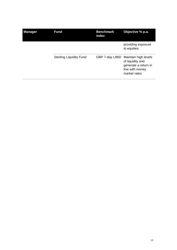| <b>Manager</b> | <b>Fund</b>                    | <b>Benchmark</b><br>index | Objective % p.a.                                                                                    |
|----------------|--------------------------------|---------------------------|-----------------------------------------------------------------------------------------------------|
|                |                                |                           | providing exposure<br>to equities.                                                                  |
|                | <b>Sterling Liquidity Fund</b> | GBP 7-day LIBID           | Maintain high levels<br>of liquidity and<br>generate a return in<br>line with money<br>market rates |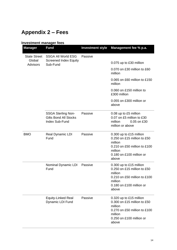# <span id="page-17-0"></span>**Appendix 2 – Fees**

#### **Investment manager fees Manager Fund Investment style Management fee % p.a.** State Street SSGA All World ESG **Global** Advisors Screened Index Equity Sub-Fund Passive 0.075 up to £30 million 0.070 on £30 million to £60 million 0.065 on £60 million to £150 million 0.060 on £150 million to £300 million 0.055 on £300 million or above SSGA Sterling Non-Gilts Bond All Stocks Index Sub-Fund Passive 0.08 up to £5 million 0.07 on £5 million to £30 million 0.05 on £30 million or above BMO Real Dynamic LDI Fund Passive 0.300 up to £15 million 0.250 on £15 million to £50 million 0.210 on £50 million to £100 million 0.180 on £100 million or above Nominal Dynamic LDI Fund Passive 0.300 up to £15 million 0.250 on £15 million to £50 million 0.210 on £50 million to £100 million 0.180 on £100 million or above Equity-Linked Real Dynamic LDI Fund Passive 0.320 up to £15 million 0.300 on £15 million to £50 million 0.270 on £50 million to £100 million 0.250 on £100 million or above